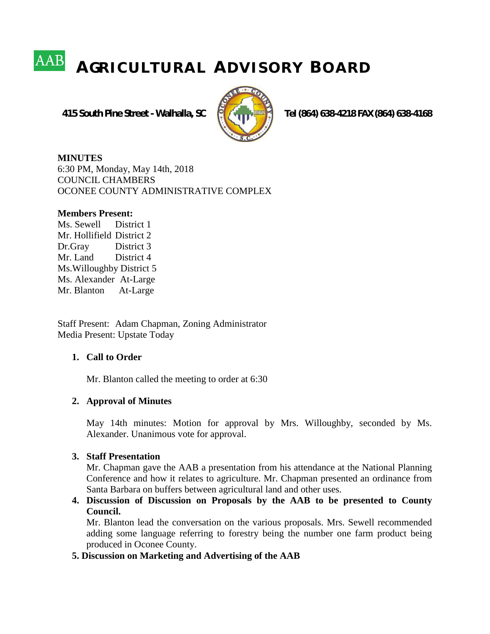# **A GR I C U L T U R A L A D V I S O R Y B O A R D**

 **415 South Pine Street - Walhalla, SC Tel (864) 638-4218 FAX (864) 638-4168**



**MINUTES** 6:30 PM, Monday, May 14th, 2018 COUNCIL CHAMBERS OCONEE COUNTY ADMINISTRATIVE COMPLEX

#### **Members Present:**

Ms. Sewell District 1 Mr. Hollifield District 2 Dr.Gray District 3 Mr. Land District 4 Ms.Willoughby District 5 Ms. Alexander At-Large Mr. Blanton At-Large

Staff Present: Adam Chapman, Zoning Administrator Media Present: Upstate Today

## **1. Call to Order**

Mr. Blanton called the meeting to order at 6:30

## **2. Approval of Minutes**

May 14th minutes: Motion for approval by Mrs. Willoughby, seconded by Ms. Alexander. Unanimous vote for approval.

#### **3. Staff Presentation**

Mr. Chapman gave the AAB a presentation from his attendance at the National Planning Conference and how it relates to agriculture. Mr. Chapman presented an ordinance from Santa Barbara on buffers between agricultural land and other uses.

**4. Discussion of Discussion on Proposals by the AAB to be presented to County Council.**

Mr. Blanton lead the conversation on the various proposals. Mrs. Sewell recommended adding some language referring to forestry being the number one farm product being produced in Oconee County.

### **5. Discussion on Marketing and Advertising of the AAB**